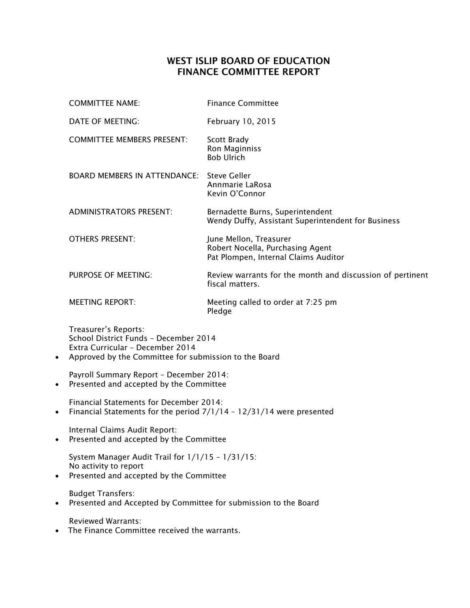## WEST ISLIP BOARD OF EDUCATION FINANCE COMMITTEE REPORT

|           | <b>COMMITTEE NAME:</b>                                                                                                                                     | <b>Finance Committee</b>                                                                           |
|-----------|------------------------------------------------------------------------------------------------------------------------------------------------------------|----------------------------------------------------------------------------------------------------|
|           | DATE OF MEETING:                                                                                                                                           | February 10, 2015                                                                                  |
|           | <b>COMMITTEE MEMBERS PRESENT:</b>                                                                                                                          | Scott Brady<br>Ron Maginniss<br><b>Bob Ulrich</b>                                                  |
|           | <b>BOARD MEMBERS IN ATTENDANCE:</b>                                                                                                                        | <b>Steve Geller</b><br>Annmarie LaRosa<br>Kevin O'Connor                                           |
|           | <b>ADMINISTRATORS PRESENT:</b>                                                                                                                             | Bernadette Burns, Superintendent<br>Wendy Duffy, Assistant Superintendent for Business             |
|           | <b>OTHERS PRESENT:</b>                                                                                                                                     | June Mellon, Treasurer<br>Robert Nocella, Purchasing Agent<br>Pat Plompen, Internal Claims Auditor |
|           | PURPOSE OF MEETING:                                                                                                                                        | Review warrants for the month and discussion of pertinent<br>fiscal matters.                       |
|           | <b>MEETING REPORT:</b>                                                                                                                                     | Meeting called to order at 7:25 pm<br>Pledge                                                       |
| $\bullet$ | Treasurer's Reports:<br>School District Funds - December 2014<br>Extra Curricular - December 2014<br>Approved by the Committee for submission to the Board |                                                                                                    |
| $\bullet$ | Payroll Summary Report - December 2014:<br>Presented and accepted by the Committee                                                                         |                                                                                                    |
| $\bullet$ | Financial Statements for December 2014:<br>Financial Statements for the period 7/1/14 - 12/31/14 were presented                                            |                                                                                                    |
|           | Internal Claims Audit Report:<br>Presented and accepted by the Committee                                                                                   |                                                                                                    |
| $\bullet$ | System Manager Audit Trail for 1/1/15 - 1/31/15:<br>No activity to report<br>Presented and accepted by the Committee                                       |                                                                                                    |
| $\bullet$ | <b>Budget Transfers:</b><br>Presented and Accepted by Committee for submission to the Board                                                                |                                                                                                    |
| $\bullet$ | <b>Reviewed Warrants:</b><br>The Finance Committee received the warrants.                                                                                  |                                                                                                    |
|           |                                                                                                                                                            |                                                                                                    |